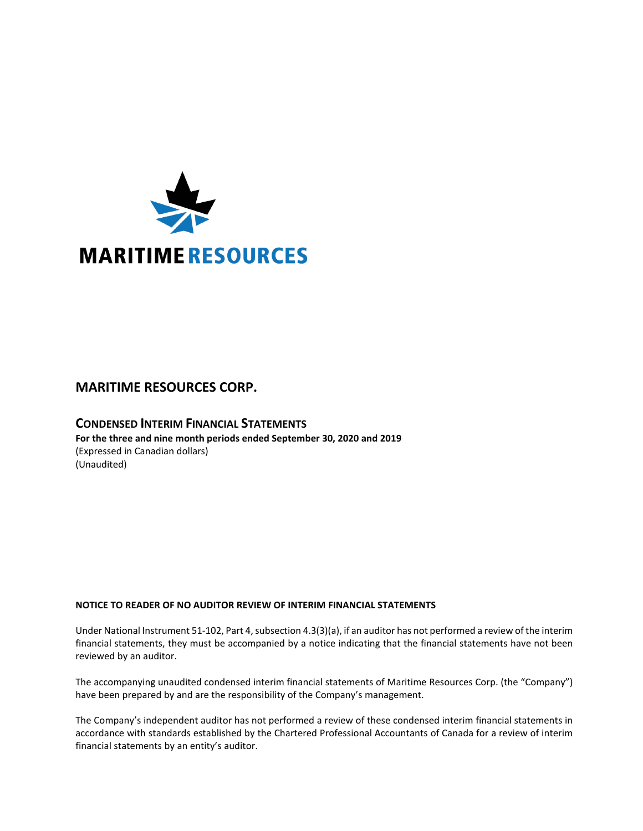

# **MARITIME RESOURCES CORP.**

**CONDENSED INTERIM FINANCIAL STATEMENTS For the three and nine month periods ended September 30, 2020 and 2019** (Expressed in Canadian dollars) (Unaudited)

# **NOTICE TO READER OF NO AUDITOR REVIEW OF INTERIM FINANCIAL STATEMENTS**

Under National Instrument 51-102, Part 4, subsection 4.3(3)(a), if an auditor has not performed a review of the interim financial statements, they must be accompanied by a notice indicating that the financial statements have not been reviewed by an auditor.

The accompanying unaudited condensed interim financial statements of Maritime Resources Corp. (the "Company") have been prepared by and are the responsibility of the Company's management.

The Company's independent auditor has not performed a review of these condensed interim financial statements in accordance with standards established by the Chartered Professional Accountants of Canada for a review of interim financial statements by an entity's auditor.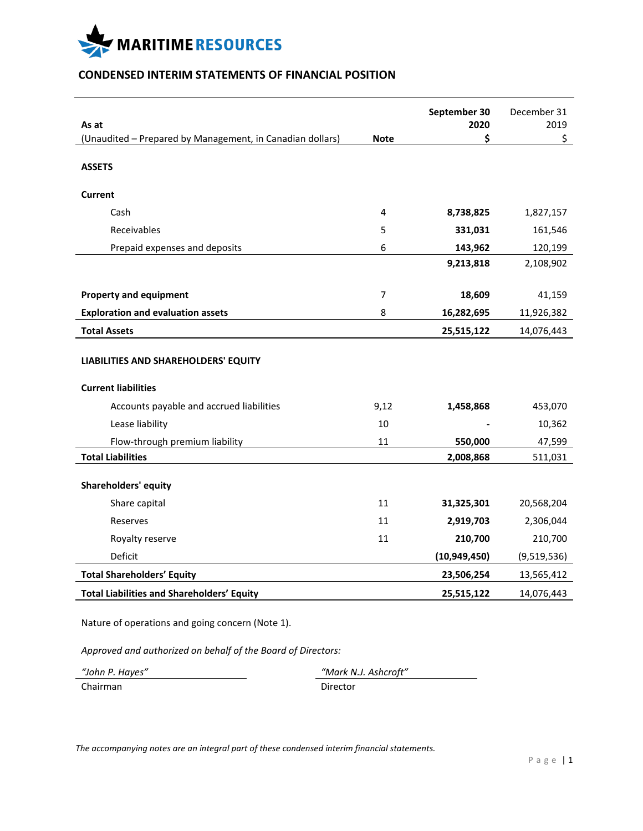

# **CONDENSED INTERIM STATEMENTS OF FINANCIAL POSITION**

|                                                                    |             | September 30   | December 31 |
|--------------------------------------------------------------------|-------------|----------------|-------------|
| As at<br>(Unaudited - Prepared by Management, in Canadian dollars) | <b>Note</b> | 2020<br>\$     | 2019<br>\$  |
|                                                                    |             |                |             |
| <b>ASSETS</b>                                                      |             |                |             |
| <b>Current</b>                                                     |             |                |             |
| Cash                                                               | 4           | 8,738,825      | 1,827,157   |
| Receivables                                                        | 5           | 331,031        | 161,546     |
| Prepaid expenses and deposits                                      | 6           | 143,962        | 120,199     |
|                                                                    |             | 9,213,818      | 2,108,902   |
|                                                                    |             |                |             |
| <b>Property and equipment</b>                                      | 7           | 18,609         | 41,159      |
| <b>Exploration and evaluation assets</b>                           | 8           | 16,282,695     | 11,926,382  |
| <b>Total Assets</b>                                                |             | 25,515,122     | 14,076,443  |
| LIABILITIES AND SHAREHOLDERS' EQUITY                               |             |                |             |
| <b>Current liabilities</b>                                         |             |                |             |
| Accounts payable and accrued liabilities                           | 9,12        | 1,458,868      | 453,070     |
| Lease liability                                                    | 10          |                | 10,362      |
| Flow-through premium liability                                     | 11          | 550,000        | 47,599      |
| <b>Total Liabilities</b>                                           |             | 2,008,868      | 511,031     |
| <b>Shareholders' equity</b>                                        |             |                |             |
| Share capital                                                      | 11          | 31,325,301     | 20,568,204  |
| Reserves                                                           | 11          | 2,919,703      | 2,306,044   |
| Royalty reserve                                                    | 11          | 210,700        | 210,700     |
| Deficit                                                            |             | (10, 949, 450) | (9,519,536) |
| <b>Total Shareholders' Equity</b>                                  |             | 23,506,254     | 13,565,412  |
| <b>Total Liabilities and Shareholders' Equity</b>                  |             | 25,515,122     | 14,076,443  |
|                                                                    |             |                |             |

Nature of operations and going concern (Note 1).

*Approved and authorized on behalf of the Board of Directors:*

Chairman Director

*"John P. Hayes" "Mark N.J. Ashcroft"*

*The accompanying notes are an integral part of these condensed interim financial statements.*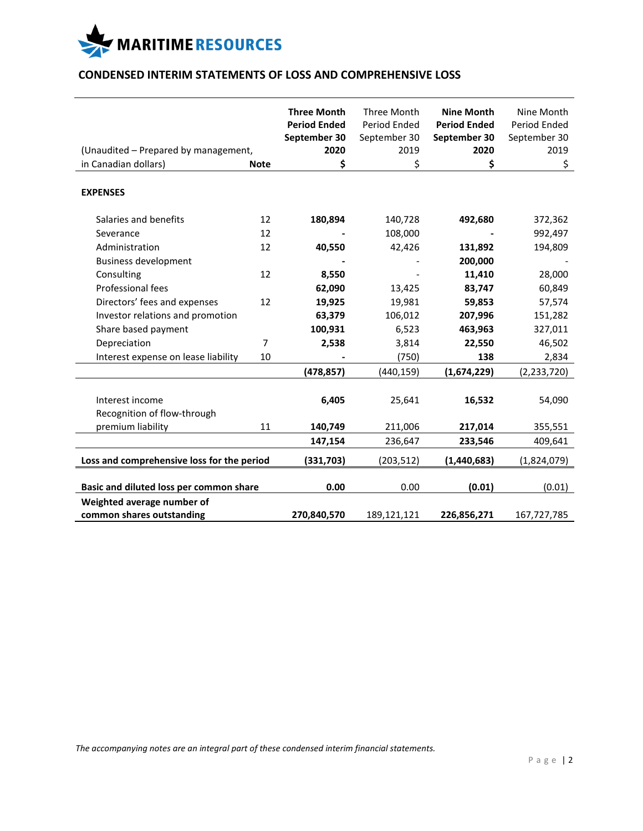

# **CONDENSED INTERIM STATEMENTS OF LOSS AND COMPREHENSIVE LOSS**

| (Unaudited - Prepared by management,                    |             | <b>Three Month</b><br><b>Period Ended</b><br>September 30<br>2020 | Three Month<br>Period Ended<br>September 30<br>2019 | <b>Nine Month</b><br><b>Period Ended</b><br>September 30<br>2020 | Nine Month<br>Period Ended<br>September 30<br>2019 |
|---------------------------------------------------------|-------------|-------------------------------------------------------------------|-----------------------------------------------------|------------------------------------------------------------------|----------------------------------------------------|
| in Canadian dollars)                                    | <b>Note</b> | \$                                                                | \$                                                  | \$                                                               | \$                                                 |
| <b>EXPENSES</b>                                         |             |                                                                   |                                                     |                                                                  |                                                    |
| Salaries and benefits                                   | 12          | 180,894                                                           | 140,728                                             | 492,680                                                          | 372,362                                            |
| Severance                                               | 12          |                                                                   | 108,000                                             |                                                                  | 992,497                                            |
| Administration                                          | 12          | 40,550                                                            | 42,426                                              | 131,892                                                          | 194,809                                            |
| <b>Business development</b>                             |             |                                                                   |                                                     | 200,000                                                          |                                                    |
| Consulting                                              | 12          | 8,550                                                             |                                                     | 11,410                                                           | 28,000                                             |
| Professional fees                                       |             | 62,090                                                            | 13,425                                              | 83,747                                                           | 60,849                                             |
| Directors' fees and expenses                            | 12          | 19,925                                                            | 19,981                                              | 59,853                                                           | 57,574                                             |
| Investor relations and promotion                        |             | 63,379                                                            | 106,012                                             | 207,996                                                          | 151,282                                            |
| Share based payment                                     |             | 100,931                                                           | 6,523                                               | 463,963                                                          | 327,011                                            |
| Depreciation                                            | 7           | 2,538                                                             | 3,814                                               | 22,550                                                           | 46,502                                             |
| Interest expense on lease liability                     | 10          |                                                                   | (750)                                               | 138                                                              | 2,834                                              |
|                                                         |             | (478, 857)                                                        | (440,159)                                           | (1,674,229)                                                      | (2,233,720)                                        |
| Interest income<br>Recognition of flow-through          |             | 6,405                                                             | 25,641                                              | 16,532                                                           | 54,090                                             |
| premium liability                                       | 11          | 140,749                                                           | 211,006                                             | 217,014                                                          | 355,551                                            |
|                                                         |             | 147,154                                                           | 236,647                                             | 233,546                                                          | 409,641                                            |
| Loss and comprehensive loss for the period              |             | (331,703)                                                         | (203, 512)                                          | (1,440,683)                                                      | (1,824,079)                                        |
| Basic and diluted loss per common share                 |             | 0.00                                                              | 0.00                                                | (0.01)                                                           | (0.01)                                             |
| Weighted average number of<br>common shares outstanding |             | 270,840,570                                                       | 189,121,121                                         | 226,856,271                                                      | 167,727,785                                        |

*The accompanying notes are an integral part of these condensed interim financial statements.*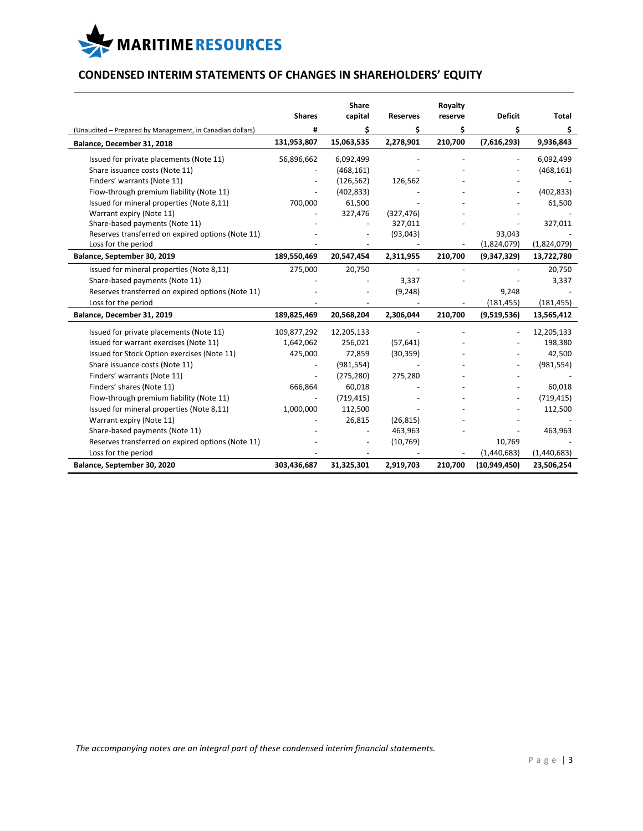

# **CONDENSED INTERIM STATEMENTS OF CHANGES IN SHAREHOLDERS' EQUITY**

|                                                           |               | Share      |                 | Royalty |                |             |
|-----------------------------------------------------------|---------------|------------|-----------------|---------|----------------|-------------|
|                                                           | <b>Shares</b> | capital    | <b>Reserves</b> | reserve | <b>Deficit</b> | Total       |
| (Unaudited - Prepared by Management, in Canadian dollars) | #             | \$         | \$              | Ś       | \$             | \$          |
| Balance, December 31, 2018                                | 131,953,807   | 15,063,535 | 2,278,901       | 210,700 | (7,616,293)    | 9,936,843   |
| Issued for private placements (Note 11)                   | 56,896,662    | 6,092,499  |                 |         |                | 6,092,499   |
| Share issuance costs (Note 11)                            |               | (468, 161) |                 |         |                | (468, 161)  |
| Finders' warrants (Note 11)                               |               | (126, 562) | 126,562         |         |                |             |
| Flow-through premium liability (Note 11)                  |               | (402, 833) |                 |         |                | (402, 833)  |
| Issued for mineral properties (Note 8,11)                 | 700,000       | 61,500     |                 |         |                | 61,500      |
| Warrant expiry (Note 11)                                  |               | 327,476    | (327, 476)      |         |                |             |
| Share-based payments (Note 11)                            |               |            | 327,011         |         |                | 327,011     |
| Reserves transferred on expired options (Note 11)         |               |            | (93, 043)       |         | 93,043         |             |
| Loss for the period                                       |               |            |                 |         | (1,824,079)    | (1,824,079) |
| Balance, September 30, 2019                               | 189,550,469   | 20,547,454 | 2,311,955       | 210,700 | (9,347,329)    | 13,722,780  |
| Issued for mineral properties (Note 8,11)                 | 275,000       | 20,750     |                 |         |                | 20,750      |
| Share-based payments (Note 11)                            |               |            | 3,337           |         |                | 3,337       |
| Reserves transferred on expired options (Note 11)         |               |            | (9, 248)        |         | 9,248          |             |
| Loss for the period                                       |               |            |                 |         | (181, 455)     | (181, 455)  |
| Balance, December 31, 2019                                | 189,825,469   | 20,568,204 | 2,306,044       | 210,700 | (9,519,536)    | 13,565,412  |
| Issued for private placements (Note 11)                   | 109,877,292   | 12,205,133 |                 |         |                | 12,205,133  |
| Issued for warrant exercises (Note 11)                    | 1,642,062     | 256,021    | (57, 641)       |         |                | 198,380     |
| Issued for Stock Option exercises (Note 11)               | 425,000       | 72,859     | (30, 359)       |         |                | 42,500      |
| Share issuance costs (Note 11)                            |               | (981, 554) |                 |         |                | (981, 554)  |
| Finders' warrants (Note 11)                               |               | (275, 280) | 275,280         |         |                |             |
| Finders' shares (Note 11)                                 | 666,864       | 60,018     |                 |         |                | 60,018      |
| Flow-through premium liability (Note 11)                  |               | (719, 415) |                 |         |                | (719, 415)  |
| Issued for mineral properties (Note 8,11)                 | 1,000,000     | 112,500    |                 |         |                | 112,500     |
| Warrant expiry (Note 11)                                  |               | 26,815     | (26, 815)       |         |                |             |
| Share-based payments (Note 11)                            |               |            | 463,963         |         |                | 463,963     |
| Reserves transferred on expired options (Note 11)         |               |            | (10, 769)       |         | 10,769         |             |
| Loss for the period                                       |               |            |                 |         | (1,440,683)    | (1,440,683) |
| Balance, September 30, 2020                               | 303,436,687   | 31,325,301 | 2,919,703       | 210,700 | (10,949,450)   | 23,506,254  |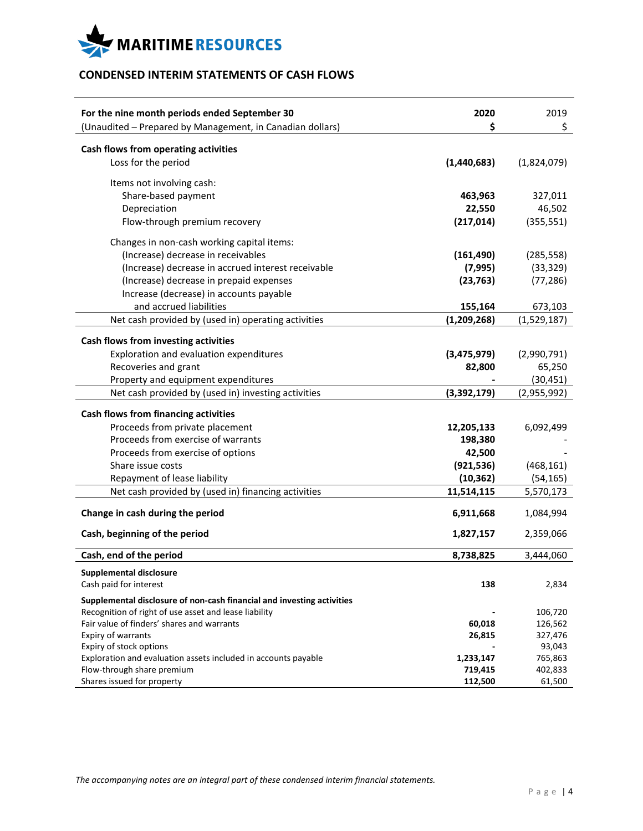

# **CONDENSED INTERIM STATEMENTS OF CASH FLOWS**

| For the nine month periods ended September 30                          | 2020<br>\$    | 2019        |
|------------------------------------------------------------------------|---------------|-------------|
| (Unaudited - Prepared by Management, in Canadian dollars)              |               | \$          |
| Cash flows from operating activities                                   |               |             |
| Loss for the period                                                    | (1,440,683)   | (1,824,079) |
| Items not involving cash:                                              |               |             |
| Share-based payment                                                    | 463,963       | 327,011     |
| Depreciation                                                           | 22,550        | 46,502      |
| Flow-through premium recovery                                          | (217, 014)    | (355, 551)  |
| Changes in non-cash working capital items:                             |               |             |
| (Increase) decrease in receivables                                     | (161, 490)    | (285, 558)  |
| (Increase) decrease in accrued interest receivable                     | (7, 995)      | (33, 329)   |
| (Increase) decrease in prepaid expenses                                | (23, 763)     | (77, 286)   |
| Increase (decrease) in accounts payable                                |               |             |
| and accrued liabilities                                                | 155,164       | 673,103     |
| Net cash provided by (used in) operating activities                    | (1, 209, 268) | (1,529,187) |
|                                                                        |               |             |
| Cash flows from investing activities                                   |               |             |
| Exploration and evaluation expenditures                                | (3,475,979)   | (2,990,791) |
| Recoveries and grant                                                   | 82,800        | 65,250      |
| Property and equipment expenditures                                    |               | (30, 451)   |
| Net cash provided by (used in) investing activities                    | (3,392,179)   | (2,955,992) |
|                                                                        |               |             |
| <b>Cash flows from financing activities</b>                            |               |             |
| Proceeds from private placement                                        | 12,205,133    | 6,092,499   |
| Proceeds from exercise of warrants                                     | 198,380       |             |
| Proceeds from exercise of options                                      | 42,500        |             |
| Share issue costs                                                      | (921, 536)    | (468, 161)  |
| Repayment of lease liability                                           | (10, 362)     | (54, 165)   |
| Net cash provided by (used in) financing activities                    | 11,514,115    | 5,570,173   |
| Change in cash during the period                                       | 6,911,668     | 1,084,994   |
| Cash, beginning of the period                                          | 1,827,157     | 2,359,066   |
|                                                                        |               |             |
| Cash, end of the period                                                | 8,738,825     | 3,444,060   |
| <b>Supplemental disclosure</b>                                         |               |             |
| Cash paid for interest                                                 | 138           | 2,834       |
| Supplemental disclosure of non-cash financial and investing activities |               |             |
| Recognition of right of use asset and lease liability                  |               | 106,720     |
| Fair value of finders' shares and warrants                             | 60,018        | 126,562     |
| Expiry of warrants                                                     | 26,815        | 327,476     |
| Expiry of stock options                                                |               | 93,043      |
| Exploration and evaluation assets included in accounts payable         | 1,233,147     | 765,863     |
| Flow-through share premium                                             | 719,415       | 402,833     |
| Shares issued for property                                             | 112,500       | 61,500      |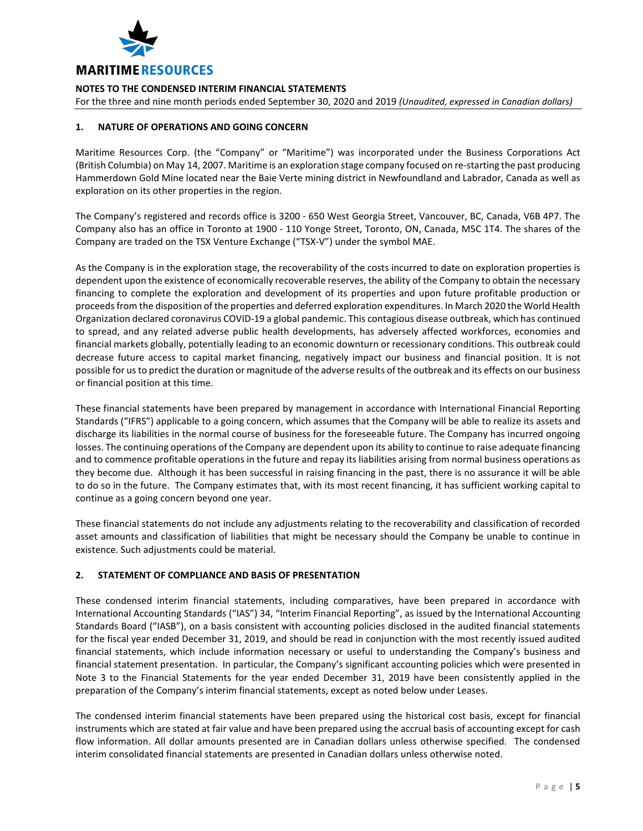

For the three and nine month periods ended September 30, 2020 and 2019 *(Unaudited, expressed in Canadian dollars)*

# **1. NATURE OF OPERATIONS AND GOING CONCERN**

Maritime Resources Corp. (the "Company" or "Maritime") was incorporated under the Business Corporations Act (British Columbia) on May 14, 2007. Maritime is an exploration stage company focused on re-starting the past producing Hammerdown Gold Mine located near the Baie Verte mining district in Newfoundland and Labrador, Canada as well as exploration on its other properties in the region.

The Company's registered and records office is 3200 - 650 West Georgia Street, Vancouver, BC, Canada, V6B 4P7. The Company also has an office in Toronto at 1900 - 110 Yonge Street, Toronto, ON, Canada, M5C 1T4. The shares of the Company are traded on the TSX Venture Exchange ("TSX-V") under the symbol MAE.

As the Company is in the exploration stage, the recoverability of the costs incurred to date on exploration properties is dependent upon the existence of economically recoverable reserves, the ability of the Company to obtain the necessary financing to complete the exploration and development of its properties and upon future profitable production or proceeds from the disposition of the properties and deferred exploration expenditures. In March 2020 the World Health Organization declared coronavirus COVID-19 a global pandemic. This contagious disease outbreak, which has continued to spread, and any related adverse public health developments, has adversely affected workforces, economies and financial markets globally, potentially leading to an economic downturn or recessionary conditions. This outbreak could decrease future access to capital market financing, negatively impact our business and financial position. It is not possible for us to predict the duration or magnitude of the adverse results of the outbreak and its effects on our business or financial position at this time.

These financial statements have been prepared by management in accordance with International Financial Reporting Standards ("IFRS") applicable to a going concern, which assumes that the Company will be able to realize its assets and discharge its liabilities in the normal course of business for the foreseeable future. The Company has incurred ongoing losses. The continuing operations of the Company are dependent upon its ability to continue to raise adequate financing and to commence profitable operations in the future and repay its liabilities arising from normal business operations as they become due. Although it has been successful in raising financing in the past, there is no assurance it will be able to do so in the future. The Company estimates that, with its most recent financing, it has sufficient working capital to continue as a going concern beyond one year.

These financial statements do not include any adjustments relating to the recoverability and classification of recorded asset amounts and classification of liabilities that might be necessary should the Company be unable to continue in existence. Such adjustments could be material.

# **2. STATEMENT OF COMPLIANCE AND BASIS OF PRESENTATION**

These condensed interim financial statements, including comparatives, have been prepared in accordance with International Accounting Standards ("IAS") 34, "Interim Financial Reporting", as issued by the International Accounting Standards Board ("IASB"), on a basis consistent with accounting policies disclosed in the audited financial statements for the fiscal year ended December 31, 2019, and should be read in conjunction with the most recently issued audited financial statements, which include information necessary or useful to understanding the Company's business and financial statement presentation. In particular, the Company's significant accounting policies which were presented in Note 3 to the Financial Statements for the year ended December 31, 2019 have been consistently applied in the preparation of the Company's interim financial statements, except as noted below under Leases.

The condensed interim financial statements have been prepared using the historical cost basis, except for financial instruments which are stated at fair value and have been prepared using the accrual basis of accounting except for cash flow information. All dollar amounts presented are in Canadian dollars unless otherwise specified. The condensed interim consolidated financial statements are presented in Canadian dollars unless otherwise noted.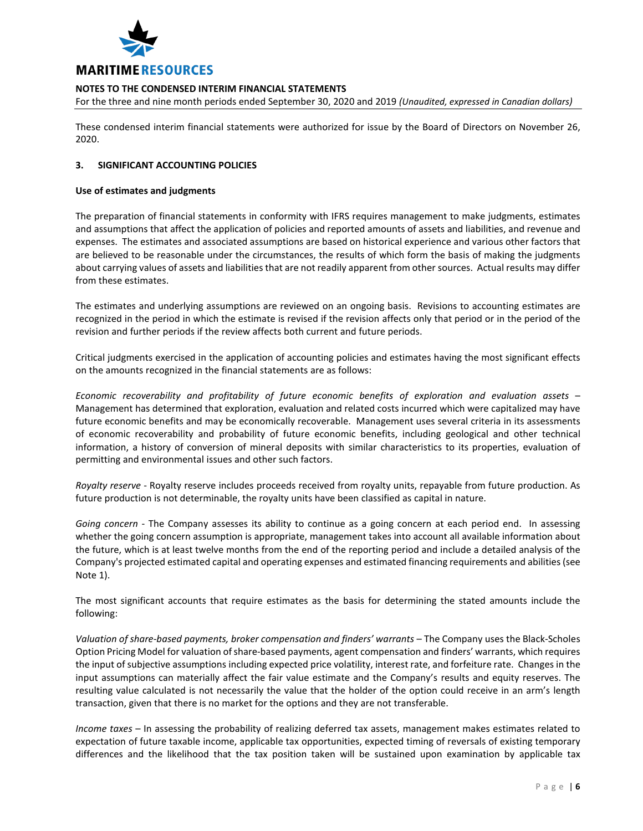

For the three and nine month periods ended September 30, 2020 and 2019 *(Unaudited, expressed in Canadian dollars)*

These condensed interim financial statements were authorized for issue by the Board of Directors on November 26, 2020.

## **3. SIGNIFICANT ACCOUNTING POLICIES**

#### **Use of estimates and judgments**

The preparation of financial statements in conformity with IFRS requires management to make judgments, estimates and assumptions that affect the application of policies and reported amounts of assets and liabilities, and revenue and expenses. The estimates and associated assumptions are based on historical experience and various other factors that are believed to be reasonable under the circumstances, the results of which form the basis of making the judgments about carrying values of assets and liabilities that are not readily apparent from other sources. Actual results may differ from these estimates.

The estimates and underlying assumptions are reviewed on an ongoing basis. Revisions to accounting estimates are recognized in the period in which the estimate is revised if the revision affects only that period or in the period of the revision and further periods if the review affects both current and future periods.

Critical judgments exercised in the application of accounting policies and estimates having the most significant effects on the amounts recognized in the financial statements are as follows:

*Economic recoverability and profitability of future economic benefits of exploration and evaluation assets* – Management has determined that exploration, evaluation and related costs incurred which were capitalized may have future economic benefits and may be economically recoverable. Management uses several criteria in its assessments of economic recoverability and probability of future economic benefits, including geological and other technical information, a history of conversion of mineral deposits with similar characteristics to its properties, evaluation of permitting and environmental issues and other such factors.

*Royalty reserve* - Royalty reserve includes proceeds received from royalty units, repayable from future production. As future production is not determinable, the royalty units have been classified as capital in nature.

*Going concern* - The Company assesses its ability to continue as a going concern at each period end. In assessing whether the going concern assumption is appropriate, management takes into account all available information about the future, which is at least twelve months from the end of the reporting period and include a detailed analysis of the Company's projected estimated capital and operating expenses and estimated financing requirements and abilities (see Note 1).

The most significant accounts that require estimates as the basis for determining the stated amounts include the following:

*Valuation of share-based payments, broker compensation and finders' warrants* – The Company uses the Black-Scholes Option Pricing Model for valuation of share-based payments, agent compensation and finders' warrants, which requires the input of subjective assumptions including expected price volatility, interest rate, and forfeiture rate. Changes in the input assumptions can materially affect the fair value estimate and the Company's results and equity reserves. The resulting value calculated is not necessarily the value that the holder of the option could receive in an arm's length transaction, given that there is no market for the options and they are not transferable.

*Income taxes* – In assessing the probability of realizing deferred tax assets, management makes estimates related to expectation of future taxable income, applicable tax opportunities, expected timing of reversals of existing temporary differences and the likelihood that the tax position taken will be sustained upon examination by applicable tax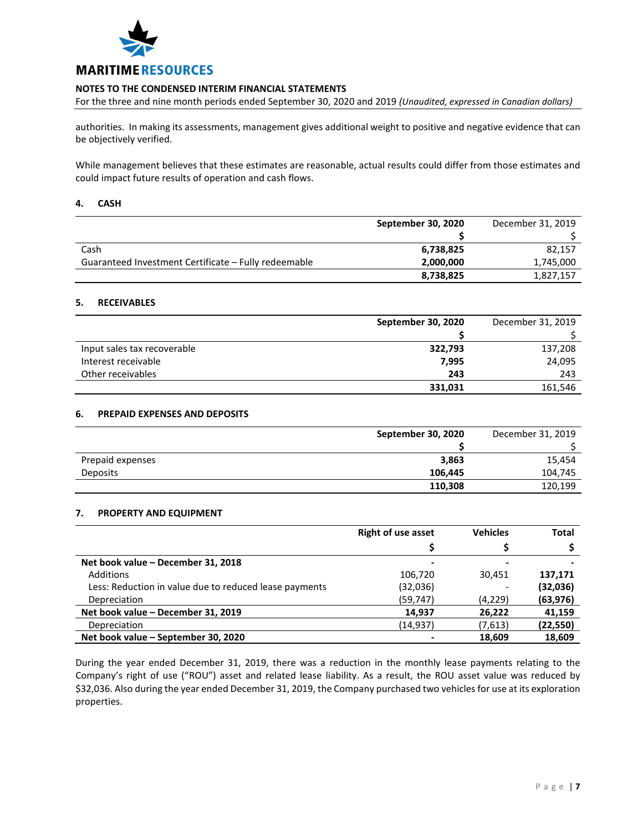

For the three and nine month periods ended September 30, 2020 and 2019 *(Unaudited, expressed in Canadian dollars)*

authorities. In making its assessments, management gives additional weight to positive and negative evidence that can be objectively verified.

While management believes that these estimates are reasonable, actual results could differ from those estimates and could impact future results of operation and cash flows.

#### **4. CASH**

|                                                      | September 30, 2020 | December 31, 2019 |
|------------------------------------------------------|--------------------|-------------------|
|                                                      |                    |                   |
| Cash                                                 | 6,738,825          | 82,157            |
| Guaranteed Investment Certificate - Fully redeemable | 2,000,000          | 1,745,000         |
|                                                      | 8,738,825          | 1,827,157         |

## **5. RECEIVABLES**

|                             | September 30, 2020 | December 31, 2019 |
|-----------------------------|--------------------|-------------------|
|                             |                    |                   |
| Input sales tax recoverable | 322,793            | 137,208           |
| Interest receivable         | 7,995              | 24,095            |
| Other receivables           | 243                | 243               |
|                             | 331,031            | 161,546           |

# **6. PREPAID EXPENSES AND DEPOSITS**

|                  | September 30, 2020 | December 31, 2019 |
|------------------|--------------------|-------------------|
|                  |                    |                   |
| Prepaid expenses | 3,863              | 15,454            |
| <b>Deposits</b>  | 106.445            | 104,745           |
|                  | 110,308            | 120,199           |

## **7. PROPERTY AND EQUIPMENT**

|                                                        | <b>Right of use asset</b> | <b>Vehicles</b> | <b>Total</b> |
|--------------------------------------------------------|---------------------------|-----------------|--------------|
|                                                        |                           |                 |              |
| Net book value - December 31, 2018                     |                           |                 |              |
| Additions                                              | 106,720                   | 30.451          | 137,171      |
| Less: Reduction in value due to reduced lease payments | (32,036)                  |                 | (32,036)     |
| Depreciation                                           | (59, 747)                 | (4,229)         | (63, 976)    |
| Net book value - December 31, 2019                     | 14,937                    | 26,222          | 41,159       |
| Depreciation                                           | (14, 937)                 | (7,613)         | (22, 550)    |
| Net book value - September 30, 2020                    |                           | 18.609          | 18,609       |

During the year ended December 31, 2019, there was a reduction in the monthly lease payments relating to the Company's right of use ("ROU") asset and related lease liability. As a result, the ROU asset value was reduced by \$32,036. Also during the year ended December 31, 2019, the Company purchased two vehicles for use at its exploration properties.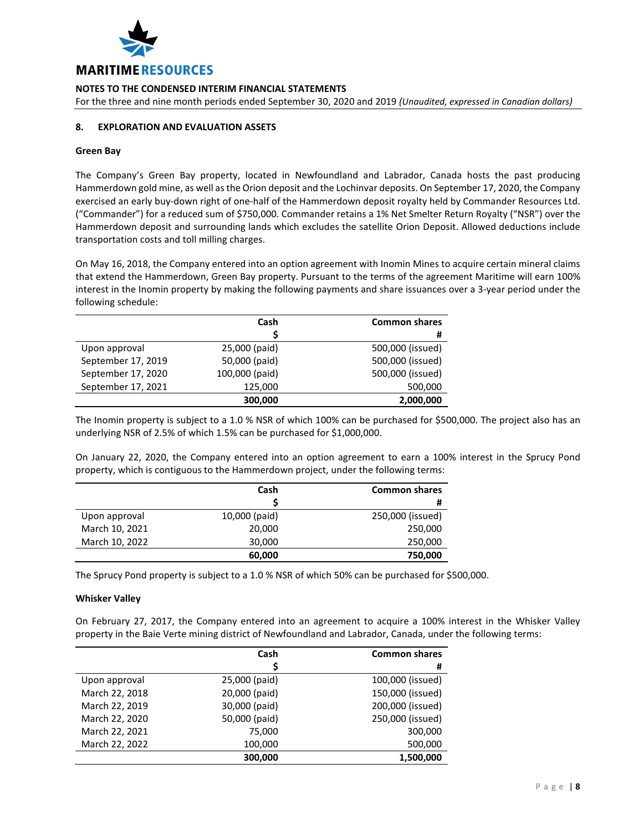

For the three and nine month periods ended September 30, 2020 and 2019 *(Unaudited, expressed in Canadian dollars)*

# **8. EXPLORATION AND EVALUATION ASSETS**

#### **Green Bay**

The Company's Green Bay property, located in Newfoundland and Labrador, Canada hosts the past producing Hammerdown gold mine, as well as the Orion deposit and the Lochinvar deposits. On September 17, 2020, the Company exercised an early buy-down right of one-half of the Hammerdown deposit royalty held by Commander Resources Ltd. ("Commander") for a reduced sum of \$750,000. Commander retains a 1% Net Smelter Return Royalty ("NSR") over the Hammerdown deposit and surrounding lands which excludes the satellite Orion Deposit. Allowed deductions include transportation costs and toll milling charges.

On May 16, 2018, the Company entered into an option agreement with Inomin Mines to acquire certain mineral claims that extend the Hammerdown, Green Bay property. Pursuant to the terms of the agreement Maritime will earn 100% interest in the Inomin property by making the following payments and share issuances over a 3-year period under the following schedule:

|                    | Cash           | <b>Common shares</b> |
|--------------------|----------------|----------------------|
|                    |                | #                    |
| Upon approval      | 25,000 (paid)  | 500,000 (issued)     |
| September 17, 2019 | 50,000 (paid)  | 500,000 (issued)     |
| September 17, 2020 | 100,000 (paid) | 500,000 (issued)     |
| September 17, 2021 | 125,000        | 500,000              |
|                    | 300,000        | 2,000,000            |

The Inomin property is subject to a 1.0 % NSR of which 100% can be purchased for \$500,000. The project also has an underlying NSR of 2.5% of which 1.5% can be purchased for \$1,000,000.

On January 22, 2020, the Company entered into an option agreement to earn a 100% interest in the Sprucy Pond property, which is contiguous to the Hammerdown project, under the following terms:

|                | Cash          | <b>Common shares</b> |
|----------------|---------------|----------------------|
|                |               | #                    |
| Upon approval  | 10,000 (paid) | 250,000 (issued)     |
| March 10, 2021 | 20,000        | 250,000              |
| March 10, 2022 | 30,000        | 250,000              |
|                | 60,000        | 750,000              |

The Sprucy Pond property is subject to a 1.0 % NSR of which 50% can be purchased for \$500,000.

## **Whisker Valley**

On February 27, 2017, the Company entered into an agreement to acquire a 100% interest in the Whisker Valley property in the Baie Verte mining district of Newfoundland and Labrador, Canada, under the following terms:

|                | Cash          | <b>Common shares</b> |
|----------------|---------------|----------------------|
|                |               | #                    |
| Upon approval  | 25,000 (paid) | 100,000 (issued)     |
| March 22, 2018 | 20,000 (paid) | 150,000 (issued)     |
| March 22, 2019 | 30,000 (paid) | 200,000 (issued)     |
| March 22, 2020 | 50,000 (paid) | 250,000 (issued)     |
| March 22, 2021 | 75,000        | 300,000              |
| March 22, 2022 | 100,000       | 500,000              |
|                | 300,000       | 1,500,000            |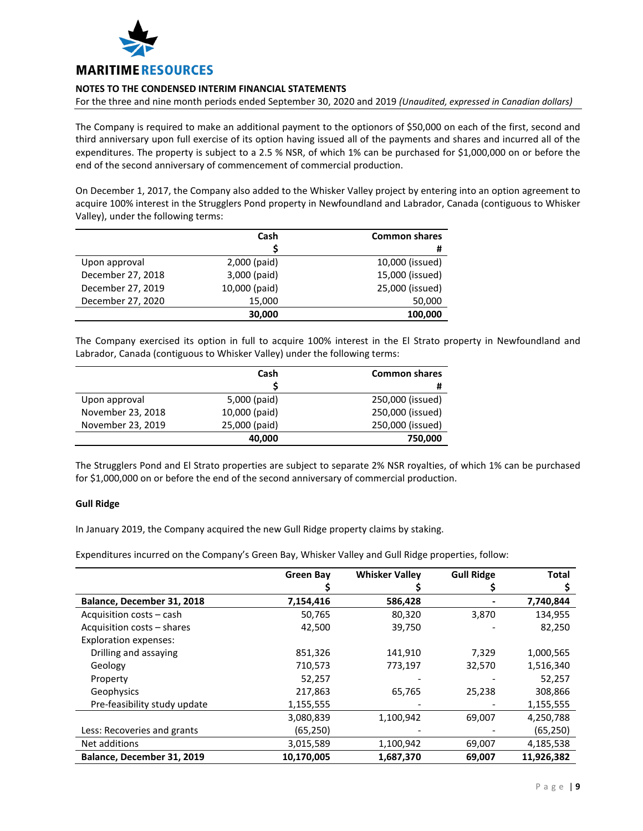

For the three and nine month periods ended September 30, 2020 and 2019 *(Unaudited, expressed in Canadian dollars)*

The Company is required to make an additional payment to the optionors of \$50,000 on each of the first, second and third anniversary upon full exercise of its option having issued all of the payments and shares and incurred all of the expenditures. The property is subject to a 2.5 % NSR, of which 1% can be purchased for \$1,000,000 on or before the end of the second anniversary of commencement of commercial production.

On December 1, 2017, the Company also added to the Whisker Valley project by entering into an option agreement to acquire 100% interest in the Strugglers Pond property in Newfoundland and Labrador, Canada (contiguous to Whisker Valley), under the following terms:

|                   | Cash          | <b>Common shares</b> |
|-------------------|---------------|----------------------|
|                   |               | #                    |
| Upon approval     | 2,000 (paid)  | 10,000 (issued)      |
| December 27, 2018 | 3,000 (paid)  | 15,000 (issued)      |
| December 27, 2019 | 10,000 (paid) | 25,000 (issued)      |
| December 27, 2020 | 15,000        | 50,000               |
|                   | 30,000        | 100,000              |

The Company exercised its option in full to acquire 100% interest in the El Strato property in Newfoundland and Labrador, Canada (contiguous to Whisker Valley) under the following terms:

|                   | Cash          | <b>Common shares</b> |
|-------------------|---------------|----------------------|
|                   |               | #                    |
| Upon approval     | 5,000 (paid)  | 250,000 (issued)     |
| November 23, 2018 | 10,000 (paid) | 250,000 (issued)     |
| November 23, 2019 | 25,000 (paid) | 250,000 (issued)     |
|                   | 40,000        | 750,000              |

The Strugglers Pond and El Strato properties are subject to separate 2% NSR royalties, of which 1% can be purchased for \$1,000,000 on or before the end of the second anniversary of commercial production.

## **Gull Ridge**

In January 2019, the Company acquired the new Gull Ridge property claims by staking.

Expenditures incurred on the Company's Green Bay, Whisker Valley and Gull Ridge properties, follow:

|                              | <b>Green Bay</b> | <b>Whisker Valley</b> | <b>Gull Ridge</b> | <b>Total</b> |
|------------------------------|------------------|-----------------------|-------------------|--------------|
|                              |                  |                       |                   |              |
| Balance, December 31, 2018   | 7,154,416        | 586,428               |                   | 7,740,844    |
| Acquisition costs - cash     | 50,765           | 80,320                | 3,870             | 134,955      |
| Acquisition costs - shares   | 42,500           | 39,750                |                   | 82,250       |
| <b>Exploration expenses:</b> |                  |                       |                   |              |
| Drilling and assaying        | 851,326          | 141,910               | 7,329             | 1,000,565    |
| Geology                      | 710,573          | 773,197               | 32,570            | 1,516,340    |
| Property                     | 52,257           |                       |                   | 52,257       |
| Geophysics                   | 217,863          | 65,765                | 25,238            | 308,866      |
| Pre-feasibility study update | 1,155,555        |                       |                   | 1,155,555    |
|                              | 3,080,839        | 1,100,942             | 69,007            | 4,250,788    |
| Less: Recoveries and grants  | (65,250)         |                       |                   | (65, 250)    |
| Net additions                | 3,015,589        | 1,100,942             | 69,007            | 4,185,538    |
| Balance, December 31, 2019   | 10,170,005       | 1,687,370             | 69,007            | 11,926,382   |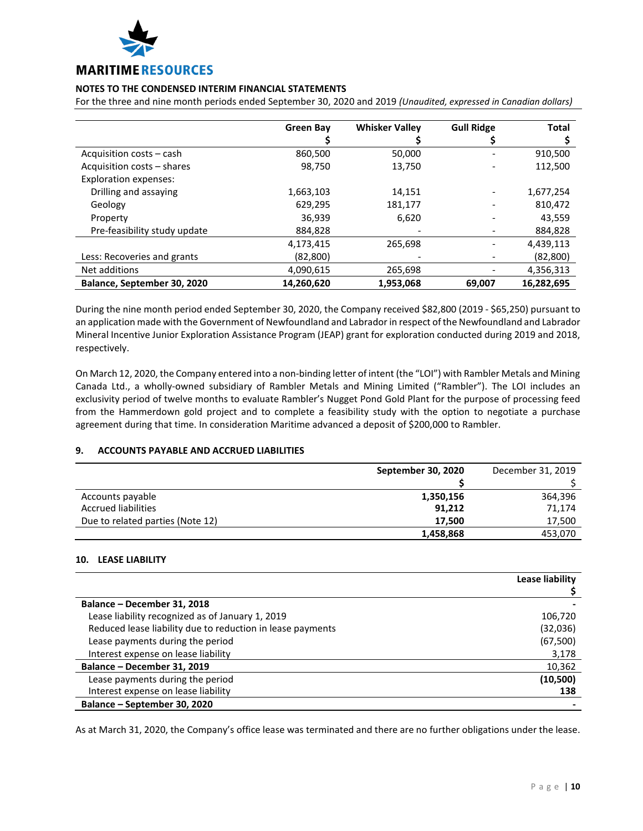

For the three and nine month periods ended September 30, 2020 and 2019 *(Unaudited, expressed in Canadian dollars)*

|                              | Green Bay  | <b>Whisker Valley</b> | <b>Gull Ridge</b> | Total      |
|------------------------------|------------|-----------------------|-------------------|------------|
|                              |            |                       |                   |            |
| Acquisition costs – cash     | 860,500    | 50,000                |                   | 910,500    |
| Acquisition costs - shares   | 98,750     | 13,750                |                   | 112,500    |
| <b>Exploration expenses:</b> |            |                       |                   |            |
| Drilling and assaying        | 1,663,103  | 14,151                |                   | 1,677,254  |
| Geology                      | 629,295    | 181,177               |                   | 810,472    |
| Property                     | 36,939     | 6,620                 | -                 | 43,559     |
| Pre-feasibility study update | 884,828    |                       |                   | 884,828    |
|                              | 4,173,415  | 265,698               | -                 | 4,439,113  |
| Less: Recoveries and grants  | (82, 800)  |                       |                   | (82, 800)  |
| Net additions                | 4,090,615  | 265,698               |                   | 4,356,313  |
| Balance, September 30, 2020  | 14,260,620 | 1,953,068             | 69,007            | 16,282,695 |

During the nine month period ended September 30, 2020, the Company received \$82,800 (2019 - \$65,250) pursuant to an application made with the Government of Newfoundland and Labrador in respect of the Newfoundland and Labrador Mineral Incentive Junior Exploration Assistance Program (JEAP) grant for exploration conducted during 2019 and 2018, respectively.

On March 12, 2020, the Company entered into a non-binding letter of intent (the "LOI") with Rambler Metals and Mining Canada Ltd., a wholly-owned subsidiary of Rambler Metals and Mining Limited ("Rambler"). The LOI includes an exclusivity period of twelve months to evaluate Rambler's Nugget Pond Gold Plant for the purpose of processing feed from the Hammerdown gold project and to complete a feasibility study with the option to negotiate a purchase agreement during that time. In consideration Maritime advanced a deposit of \$200,000 to Rambler.

# **9. ACCOUNTS PAYABLE AND ACCRUED LIABILITIES**

|                                  | September 30, 2020 | December 31, 2019 |
|----------------------------------|--------------------|-------------------|
|                                  |                    |                   |
| Accounts payable                 | 1,350,156          | 364,396           |
| <b>Accrued liabilities</b>       | 91,212             | 71.174            |
| Due to related parties (Note 12) | 17.500             | 17,500            |
|                                  | 1,458,868          | 453,070           |

# **10. LEASE LIABILITY**

|                                                            | Lease liability |
|------------------------------------------------------------|-----------------|
|                                                            |                 |
| Balance - December 31, 2018                                |                 |
| Lease liability recognized as of January 1, 2019           | 106,720         |
| Reduced lease liability due to reduction in lease payments | (32,036)        |
| Lease payments during the period                           | (67, 500)       |
| Interest expense on lease liability                        | 3,178           |
| Balance - December 31, 2019                                | 10,362          |
| Lease payments during the period                           | (10, 500)       |
| Interest expense on lease liability                        | 138             |
| Balance – September 30, 2020                               |                 |

As at March 31, 2020, the Company's office lease was terminated and there are no further obligations under the lease.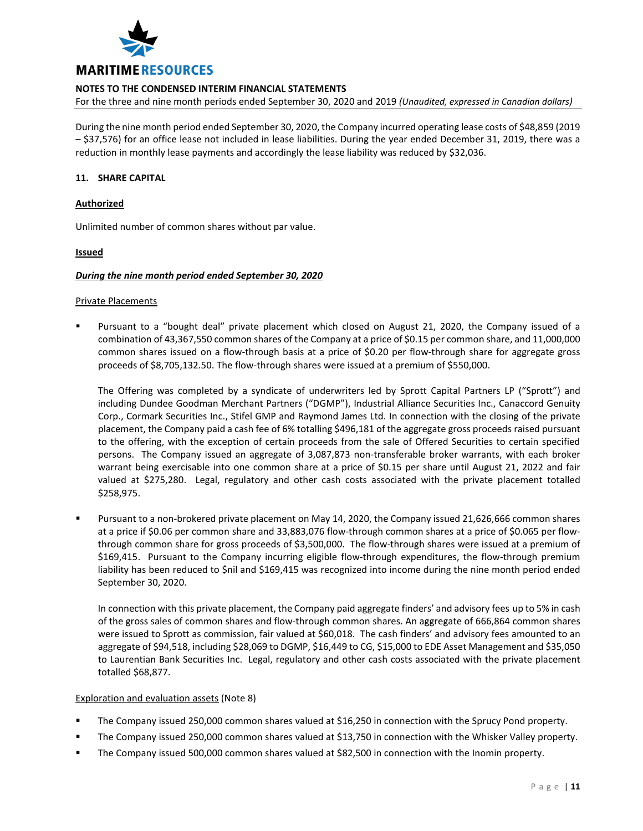

For the three and nine month periods ended September 30, 2020 and 2019 *(Unaudited, expressed in Canadian dollars)*

During the nine month period ended September 30, 2020, the Company incurred operating lease costs of \$48,859 (2019 – \$37,576) for an office lease not included in lease liabilities. During the year ended December 31, 2019, there was a reduction in monthly lease payments and accordingly the lease liability was reduced by \$32,036.

# **11. SHARE CAPITAL**

### **Authorized**

Unlimited number of common shares without par value.

## **Issued**

#### *During the nine month period ended September 30, 2020*

#### Private Placements

 Pursuant to a "bought deal" private placement which closed on August 21, 2020, the Company issued of a combination of 43,367,550 common shares of the Company at a price of \$0.15 per common share, and 11,000,000 common shares issued on a flow-through basis at a price of \$0.20 per flow-through share for aggregate gross proceeds of \$8,705,132.50. The flow-through shares were issued at a premium of \$550,000.

The Offering was completed by a syndicate of underwriters led by Sprott Capital Partners LP ("Sprott") and including Dundee Goodman Merchant Partners ("DGMP"), Industrial Alliance Securities Inc., Canaccord Genuity Corp., Cormark Securities Inc., Stifel GMP and Raymond James Ltd. In connection with the closing of the private placement, the Company paid a cash fee of 6% totalling \$496,181 of the aggregate gross proceeds raised pursuant to the offering, with the exception of certain proceeds from the sale of Offered Securities to certain specified persons. The Company issued an aggregate of 3,087,873 non-transferable broker warrants, with each broker warrant being exercisable into one common share at a price of \$0.15 per share until August 21, 2022 and fair valued at \$275,280. Legal, regulatory and other cash costs associated with the private placement totalled \$258,975.

 Pursuant to a non-brokered private placement on May 14, 2020, the Company issued 21,626,666 common shares at a price if \$0.06 per common share and 33,883,076 flow-through common shares at a price of \$0.065 per flowthrough common share for gross proceeds of \$3,500,000. The flow-through shares were issued at a premium of \$169,415. Pursuant to the Company incurring eligible flow-through expenditures, the flow-through premium liability has been reduced to \$nil and \$169,415 was recognized into income during the nine month period ended September 30, 2020.

In connection with this private placement, the Company paid aggregate finders' and advisory fees up to 5% in cash of the gross sales of common shares and flow-through common shares. An aggregate of 666,864 common shares were issued to Sprott as commission, fair valued at \$60,018. The cash finders' and advisory fees amounted to an aggregate of \$94,518, including \$28,069 to DGMP, \$16,449 to CG, \$15,000 to EDE Asset Management and \$35,050 to Laurentian Bank Securities Inc. Legal, regulatory and other cash costs associated with the private placement totalled \$68,877.

## Exploration and evaluation assets (Note 8)

- The Company issued 250,000 common shares valued at \$16,250 in connection with the Sprucy Pond property.
- The Company issued 250,000 common shares valued at \$13,750 in connection with the Whisker Valley property.
- The Company issued 500,000 common shares valued at \$82,500 in connection with the Inomin property.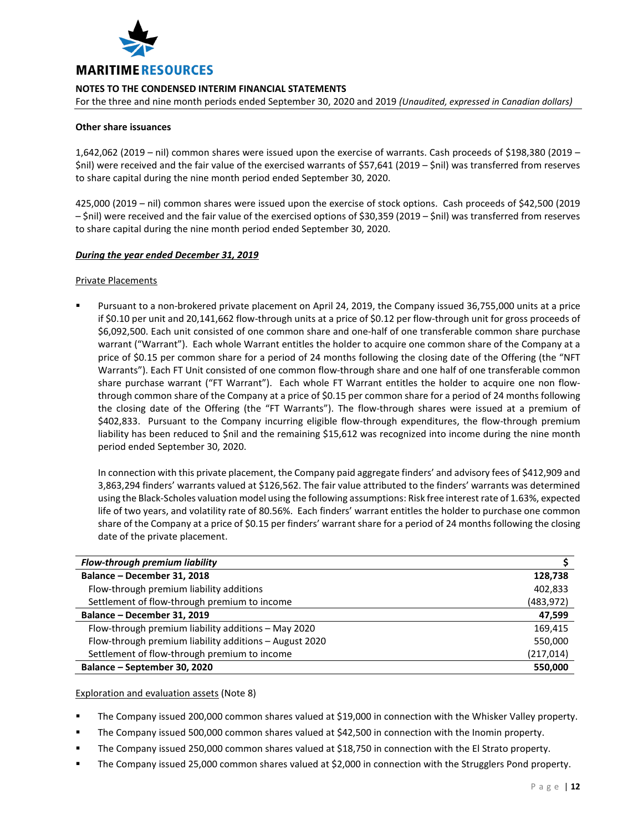

For the three and nine month periods ended September 30, 2020 and 2019 *(Unaudited, expressed in Canadian dollars)*

# **Other share issuances**

1,642,062 (2019 – nil) common shares were issued upon the exercise of warrants. Cash proceeds of \$198,380 (2019 – \$nil) were received and the fair value of the exercised warrants of \$57,641 (2019 – \$nil) was transferred from reserves to share capital during the nine month period ended September 30, 2020.

425,000 (2019 – nil) common shares were issued upon the exercise of stock options. Cash proceeds of \$42,500 (2019 – \$nil) were received and the fair value of the exercised options of \$30,359 (2019 – \$nil) was transferred from reserves to share capital during the nine month period ended September 30, 2020.

## *During the year ended December 31, 2019*

## Private Placements

 Pursuant to a non-brokered private placement on April 24, 2019, the Company issued 36,755,000 units at a price if \$0.10 per unit and 20,141,662 flow-through units at a price of \$0.12 per flow-through unit for gross proceeds of \$6,092,500. Each unit consisted of one common share and one-half of one transferable common share purchase warrant ("Warrant"). Each whole Warrant entitles the holder to acquire one common share of the Company at a price of \$0.15 per common share for a period of 24 months following the closing date of the Offering (the "NFT Warrants"). Each FT Unit consisted of one common flow-through share and one half of one transferable common share purchase warrant ("FT Warrant"). Each whole FT Warrant entitles the holder to acquire one non flowthrough common share of the Company at a price of \$0.15 per common share for a period of 24 months following the closing date of the Offering (the "FT Warrants"). The flow-through shares were issued at a premium of \$402,833. Pursuant to the Company incurring eligible flow-through expenditures, the flow-through premium liability has been reduced to \$nil and the remaining \$15,612 was recognized into income during the nine month period ended September 30, 2020.

In connection with this private placement, the Company paid aggregate finders' and advisory fees of \$412,909 and 3,863,294 finders' warrants valued at \$126,562. The fair value attributed to the finders' warrants was determined using the Black-Scholes valuation model using the following assumptions: Risk free interest rate of 1.63%, expected life of two years, and volatility rate of 80.56%. Each finders' warrant entitles the holder to purchase one common share of the Company at a price of \$0.15 per finders' warrant share for a period of 24 months following the closing date of the private placement.

| Flow-through premium liability                         |            |
|--------------------------------------------------------|------------|
| Balance - December 31, 2018                            | 128,738    |
| Flow-through premium liability additions               | 402,833    |
| Settlement of flow-through premium to income           | (483, 972) |
| Balance - December 31, 2019                            | 47,599     |
| Flow-through premium liability additions - May 2020    | 169,415    |
| Flow-through premium liability additions - August 2020 | 550,000    |
| Settlement of flow-through premium to income           | (217,014)  |
| Balance - September 30, 2020                           | 550,000    |

Exploration and evaluation assets (Note 8)

The Company issued 200,000 common shares valued at \$19,000 in connection with the Whisker Valley property.

- The Company issued 500,000 common shares valued at \$42,500 in connection with the Inomin property.
- The Company issued 250,000 common shares valued at \$18,750 in connection with the El Strato property.
- The Company issued 25,000 common shares valued at \$2,000 in connection with the Strugglers Pond property.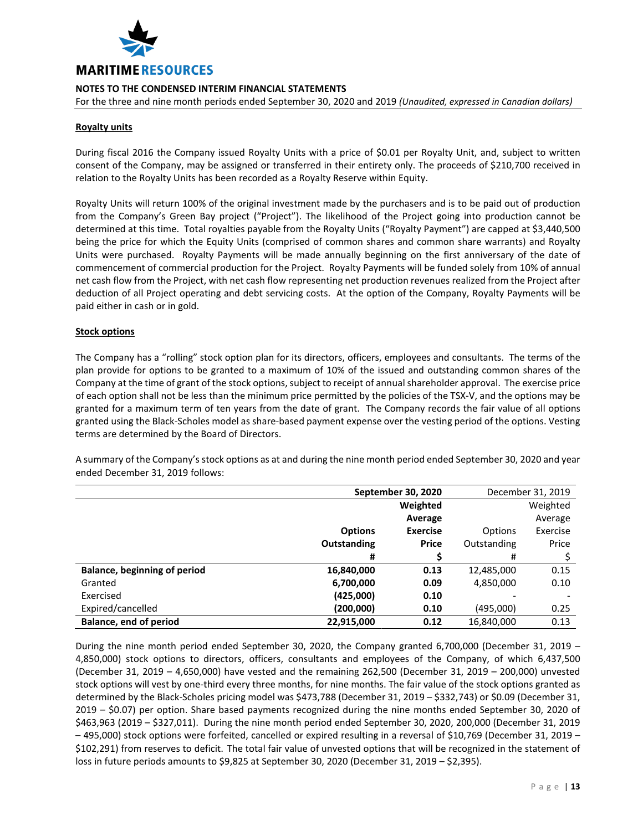

For the three and nine month periods ended September 30, 2020 and 2019 *(Unaudited, expressed in Canadian dollars)*

# **Royalty units**

During fiscal 2016 the Company issued Royalty Units with a price of \$0.01 per Royalty Unit, and, subject to written consent of the Company, may be assigned or transferred in their entirety only. The proceeds of \$210,700 received in relation to the Royalty Units has been recorded as a Royalty Reserve within Equity.

Royalty Units will return 100% of the original investment made by the purchasers and is to be paid out of production from the Company's Green Bay project ("Project"). The likelihood of the Project going into production cannot be determined at this time. Total royalties payable from the Royalty Units ("Royalty Payment") are capped at \$3,440,500 being the price for which the Equity Units (comprised of common shares and common share warrants) and Royalty Units were purchased. Royalty Payments will be made annually beginning on the first anniversary of the date of commencement of commercial production for the Project. Royalty Payments will be funded solely from 10% of annual net cash flow from the Project, with net cash flow representing net production revenues realized from the Project after deduction of all Project operating and debt servicing costs. At the option of the Company, Royalty Payments will be paid either in cash or in gold.

# **Stock options**

The Company has a "rolling" stock option plan for its directors, officers, employees and consultants. The terms of the plan provide for options to be granted to a maximum of 10% of the issued and outstanding common shares of the Company at the time of grant of the stock options, subject to receipt of annual shareholder approval. The exercise price of each option shall not be less than the minimum price permitted by the policies of the TSX-V, and the options may be granted for a maximum term of ten years from the date of grant. The Company records the fair value of all options granted using the Black-Scholes model as share-based payment expense over the vesting period of the options. Vesting terms are determined by the Board of Directors.

A summary of the Company's stock options as at and during the nine month period ended September 30, 2020 and year ended December 31, 2019 follows:

|                                     | September 30, 2020 |                 | December 31, 2019 |          |
|-------------------------------------|--------------------|-----------------|-------------------|----------|
|                                     |                    | Weighted        |                   | Weighted |
|                                     |                    | Average         |                   | Average  |
|                                     | <b>Options</b>     | <b>Exercise</b> | Options           | Exercise |
|                                     | Outstanding        | <b>Price</b>    | Outstanding       | Price    |
|                                     | #                  |                 | #                 |          |
| <b>Balance, beginning of period</b> | 16,840,000         | 0.13            | 12,485,000        | 0.15     |
| Granted                             | 6,700,000          | 0.09            | 4,850,000         | 0.10     |
| Exercised                           | (425,000)          | 0.10            |                   |          |
| Expired/cancelled                   | (200,000)          | 0.10            | (495,000)         | 0.25     |
| <b>Balance, end of period</b>       | 22,915,000         | 0.12            | 16,840,000        | 0.13     |

During the nine month period ended September 30, 2020, the Company granted 6,700,000 (December 31, 2019 – 4,850,000) stock options to directors, officers, consultants and employees of the Company, of which 6,437,500 (December 31, 2019 – 4,650,000) have vested and the remaining 262,500 (December 31, 2019 – 200,000) unvested stock options will vest by one-third every three months, for nine months. The fair value of the stock options granted as determined by the Black-Scholes pricing model was \$473,788 (December 31, 2019 – \$332,743) or \$0.09 (December 31, 2019 – \$0.07) per option. Share based payments recognized during the nine months ended September 30, 2020 of \$463,963 (2019 – \$327,011). During the nine month period ended September 30, 2020, 200,000 (December 31, 2019 – 495,000) stock options were forfeited, cancelled or expired resulting in a reversal of \$10,769 (December 31, 2019 – \$102,291) from reserves to deficit. The total fair value of unvested options that will be recognized in the statement of loss in future periods amounts to \$9,825 at September 30, 2020 (December 31, 2019 – \$2,395).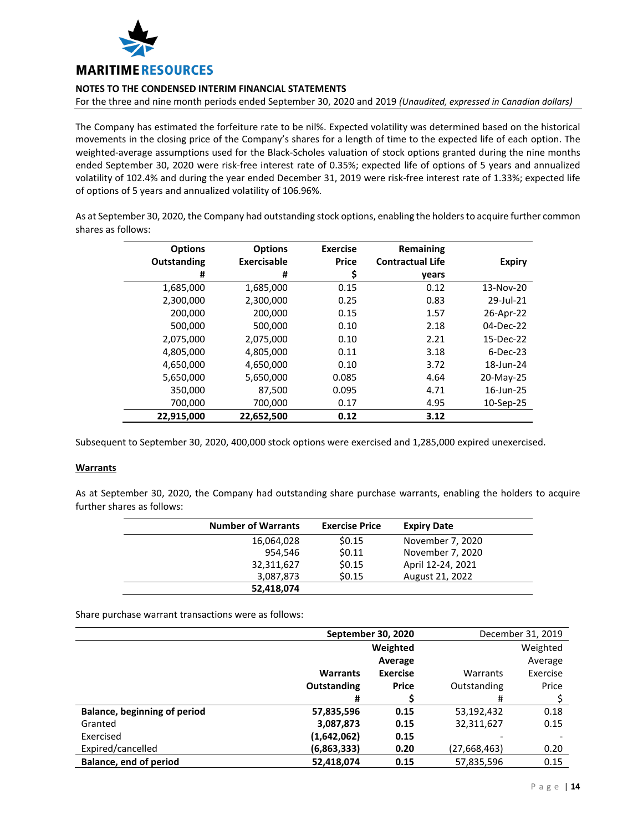

For the three and nine month periods ended September 30, 2020 and 2019 *(Unaudited, expressed in Canadian dollars)*

The Company has estimated the forfeiture rate to be nil%. Expected volatility was determined based on the historical movements in the closing price of the Company's shares for a length of time to the expected life of each option. The weighted-average assumptions used for the Black-Scholes valuation of stock options granted during the nine months ended September 30, 2020 were risk-free interest rate of 0.35%; expected life of options of 5 years and annualized volatility of 102.4% and during the year ended December 31, 2019 were risk-free interest rate of 1.33%; expected life of options of 5 years and annualized volatility of 106.96%.

As at September 30, 2020, the Company had outstanding stock options, enabling the holders to acquire further common shares as follows:

| <b>Options</b> | <b>Options</b> | <b>Exercise</b> | Remaining               |               |
|----------------|----------------|-----------------|-------------------------|---------------|
| Outstanding    | Exercisable    | <b>Price</b>    | <b>Contractual Life</b> | <b>Expiry</b> |
| #              | #              | \$              | years                   |               |
| 1,685,000      | 1,685,000      | 0.15            | 0.12                    | 13-Nov-20     |
| 2,300,000      | 2,300,000      | 0.25            | 0.83                    | 29-Jul-21     |
| 200,000        | 200,000        | 0.15            | 1.57                    | 26-Apr-22     |
| 500,000        | 500,000        | 0.10            | 2.18                    | 04-Dec-22     |
| 2,075,000      | 2,075,000      | 0.10            | 2.21                    | 15-Dec-22     |
| 4,805,000      | 4,805,000      | 0.11            | 3.18                    | $6$ -Dec-23   |
| 4,650,000      | 4,650,000      | 0.10            | 3.72                    | 18-Jun-24     |
| 5,650,000      | 5,650,000      | 0.085           | 4.64                    | 20-May-25     |
| 350,000        | 87,500         | 0.095           | 4.71                    | 16-Jun-25     |
| 700,000        | 700,000        | 0.17            | 4.95                    | 10-Sep-25     |
| 22,915,000     | 22,652,500     | 0.12            | 3.12                    |               |

Subsequent to September 30, 2020, 400,000 stock options were exercised and 1,285,000 expired unexercised.

## **Warrants**

As at September 30, 2020, the Company had outstanding share purchase warrants, enabling the holders to acquire further shares as follows:

| <b>Number of Warrants</b> | <b>Exercise Price</b> | <b>Expiry Date</b> |
|---------------------------|-----------------------|--------------------|
| 16,064,028                | \$0.15                | November 7, 2020   |
| 954,546                   | \$0.11                | November 7, 2020   |
| 32,311,627                | \$0.15                | April 12-24, 2021  |
| 3,087,873                 | \$0.15                | August 21, 2022    |
| 52,418,074                |                       |                    |

Share purchase warrant transactions were as follows:

|                                     | September 30, 2020 |                 | December 31, 2019 |          |
|-------------------------------------|--------------------|-----------------|-------------------|----------|
|                                     | Weighted           |                 |                   | Weighted |
|                                     |                    | Average         |                   | Average  |
|                                     | <b>Warrants</b>    | <b>Exercise</b> | Warrants          | Exercise |
|                                     | <b>Outstanding</b> | <b>Price</b>    | Outstanding       | Price    |
|                                     | #                  |                 | #                 |          |
| <b>Balance, beginning of period</b> | 57,835,596         | 0.15            | 53,192,432        | 0.18     |
| Granted                             | 3,087,873          | 0.15            | 32,311,627        | 0.15     |
| Exercised                           | (1,642,062)        | 0.15            |                   |          |
| Expired/cancelled                   | (6,863,333)        | 0.20            | (27,668,463)      | 0.20     |
| Balance, end of period              | 52,418,074         | 0.15            | 57,835,596        | 0.15     |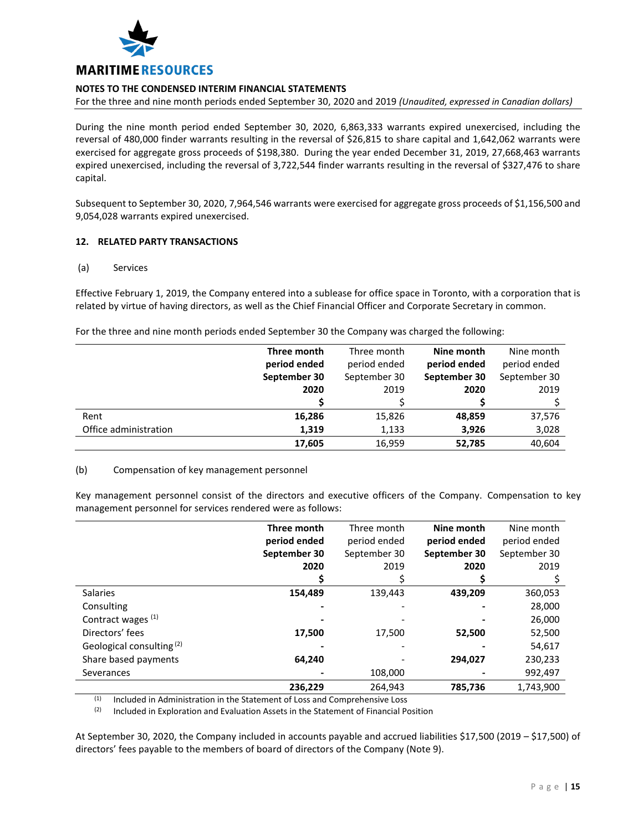

For the three and nine month periods ended September 30, 2020 and 2019 *(Unaudited, expressed in Canadian dollars)*

During the nine month period ended September 30, 2020, 6,863,333 warrants expired unexercised, including the reversal of 480,000 finder warrants resulting in the reversal of \$26,815 to share capital and 1,642,062 warrants were exercised for aggregate gross proceeds of \$198,380. During the year ended December 31, 2019, 27,668,463 warrants expired unexercised, including the reversal of 3,722,544 finder warrants resulting in the reversal of \$327,476 to share capital.

Subsequent to September 30, 2020, 7,964,546 warrants were exercised for aggregate gross proceeds of \$1,156,500 and 9,054,028 warrants expired unexercised.

# **12. RELATED PARTY TRANSACTIONS**

## (a) Services

Effective February 1, 2019, the Company entered into a sublease for office space in Toronto, with a corporation that is related by virtue of having directors, as well as the Chief Financial Officer and Corporate Secretary in common.

For the three and nine month periods ended September 30 the Company was charged the following:

|                       | Three month  | Three month  | Nine month   | Nine month   |
|-----------------------|--------------|--------------|--------------|--------------|
|                       | period ended | period ended | period ended | period ended |
|                       | September 30 | September 30 | September 30 | September 30 |
|                       | 2020         | 2019         | 2020         | 2019         |
|                       |              |              |              |              |
| Rent                  | 16,286       | 15,826       | 48,859       | 37,576       |
| Office administration | 1,319        | 1,133        | 3,926        | 3,028        |
|                       | 17,605       | 16,959       | 52,785       | 40,604       |

## (b) Compensation of key management personnel

Key management personnel consist of the directors and executive officers of the Company. Compensation to key management personnel for services rendered were as follows:

|                                      | Three month  | Three month  | Nine month   | Nine month   |
|--------------------------------------|--------------|--------------|--------------|--------------|
|                                      | period ended | period ended | period ended | period ended |
|                                      | September 30 | September 30 | September 30 | September 30 |
|                                      | 2020         | 2019         | 2020         | 2019         |
|                                      |              |              |              |              |
| <b>Salaries</b>                      | 154,489      | 139,443      | 439,209      | 360,053      |
| Consulting                           |              |              |              | 28,000       |
| Contract wages (1)                   |              |              |              | 26,000       |
| Directors' fees                      | 17,500       | 17,500       | 52,500       | 52,500       |
| Geological consulting <sup>(2)</sup> |              |              |              | 54,617       |
| Share based payments                 | 64,240       |              | 294,027      | 230,233      |
| Severances                           |              | 108,000      |              | 992,497      |
|                                      | 236.229      | 264.943      | 785,736      | 1,743,900    |

 $(1)$  Included in Administration in the Statement of Loss and Comprehensive Loss

 $(2)$  Included in Exploration and Evaluation Assets in the Statement of Financial Position

At September 30, 2020, the Company included in accounts payable and accrued liabilities \$17,500 (2019 – \$17,500) of directors' fees payable to the members of board of directors of the Company (Note 9).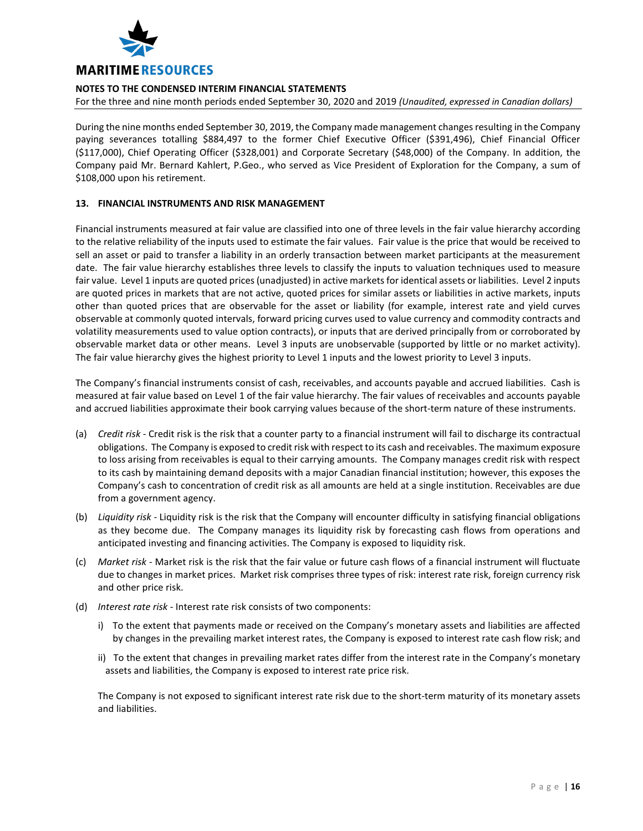

For the three and nine month periods ended September 30, 2020 and 2019 *(Unaudited, expressed in Canadian dollars)*

During the nine months ended September 30, 2019, the Company made management changes resulting in the Company paying severances totalling \$884,497 to the former Chief Executive Officer (\$391,496), Chief Financial Officer (\$117,000), Chief Operating Officer (\$328,001) and Corporate Secretary (\$48,000) of the Company. In addition, the Company paid Mr. Bernard Kahlert, P.Geo., who served as Vice President of Exploration for the Company, a sum of \$108,000 upon his retirement.

# **13. FINANCIAL INSTRUMENTS AND RISK MANAGEMENT**

Financial instruments measured at fair value are classified into one of three levels in the fair value hierarchy according to the relative reliability of the inputs used to estimate the fair values. Fair value is the price that would be received to sell an asset or paid to transfer a liability in an orderly transaction between market participants at the measurement date. The fair value hierarchy establishes three levels to classify the inputs to valuation techniques used to measure fair value. Level 1 inputs are quoted prices (unadjusted) in active markets for identical assets or liabilities. Level 2 inputs are quoted prices in markets that are not active, quoted prices for similar assets or liabilities in active markets, inputs other than quoted prices that are observable for the asset or liability (for example, interest rate and yield curves observable at commonly quoted intervals, forward pricing curves used to value currency and commodity contracts and volatility measurements used to value option contracts), or inputs that are derived principally from or corroborated by observable market data or other means. Level 3 inputs are unobservable (supported by little or no market activity). The fair value hierarchy gives the highest priority to Level 1 inputs and the lowest priority to Level 3 inputs.

The Company's financial instruments consist of cash, receivables, and accounts payable and accrued liabilities. Cash is measured at fair value based on Level 1 of the fair value hierarchy. The fair values of receivables and accounts payable and accrued liabilities approximate their book carrying values because of the short-term nature of these instruments.

- (a) *Credit risk* Credit risk is the risk that a counter party to a financial instrument will fail to discharge its contractual obligations. The Company is exposed to credit risk with respect to its cash and receivables. The maximum exposure to loss arising from receivables is equal to their carrying amounts. The Company manages credit risk with respect to its cash by maintaining demand deposits with a major Canadian financial institution; however, this exposes the Company's cash to concentration of credit risk as all amounts are held at a single institution. Receivables are due from a government agency.
- (b) *Liquidity risk* Liquidity risk is the risk that the Company will encounter difficulty in satisfying financial obligations as they become due. The Company manages its liquidity risk by forecasting cash flows from operations and anticipated investing and financing activities. The Company is exposed to liquidity risk.
- (c) *Market risk* Market risk is the risk that the fair value or future cash flows of a financial instrument will fluctuate due to changes in market prices. Market risk comprises three types of risk: interest rate risk, foreign currency risk and other price risk.
- (d) *Interest rate risk* Interest rate risk consists of two components:
	- i) To the extent that payments made or received on the Company's monetary assets and liabilities are affected by changes in the prevailing market interest rates, the Company is exposed to interest rate cash flow risk; and
	- ii) To the extent that changes in prevailing market rates differ from the interest rate in the Company's monetary assets and liabilities, the Company is exposed to interest rate price risk.

The Company is not exposed to significant interest rate risk due to the short-term maturity of its monetary assets and liabilities.